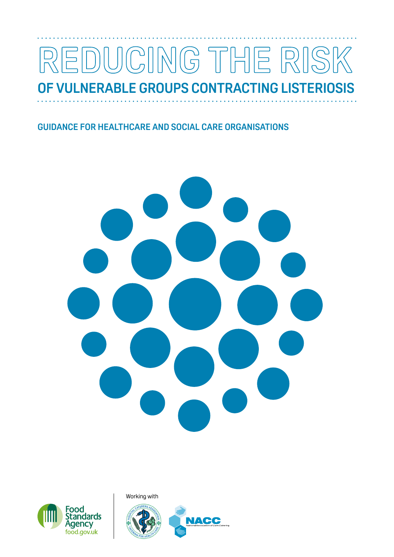# ING THE RIS  $\left| \right| \left| \right| \left| \right|$  $\left| \bigcap_{\Gamma\in \Gamma} \right|$ **OF VULNERABLE GROUPS CONTRACTING LISTERIOSIS**

. . .

# **GUIDANCE FOR HEALTHCARE AND SOCIAL CARE ORGANISATIONS**





Working with

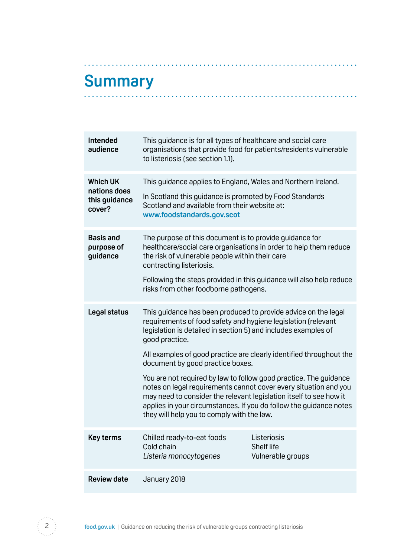# <span id="page-1-0"></span>**Summary**

. . . . . . . . .

| Intended<br>audience                                       | This guidance is for all types of healthcare and social care<br>organisations that provide food for patients/residents vulnerable<br>to listeriosis (see section 1.1).                                                                                                                                                                                                                                                                                                                                                                                                                                                                                            |                                                |
|------------------------------------------------------------|-------------------------------------------------------------------------------------------------------------------------------------------------------------------------------------------------------------------------------------------------------------------------------------------------------------------------------------------------------------------------------------------------------------------------------------------------------------------------------------------------------------------------------------------------------------------------------------------------------------------------------------------------------------------|------------------------------------------------|
| <b>Which UK</b><br>nations does<br>this guidance<br>cover? | This guidance applies to England, Wales and Northern Ireland.<br>In Scotland this guidance is promoted by Food Standards<br>Scotland and available from their website at:<br>www.foodstandards.gov.scot                                                                                                                                                                                                                                                                                                                                                                                                                                                           |                                                |
| <b>Basis and</b><br>purpose of<br>guidance                 | The purpose of this document is to provide guidance for<br>healthcare/social care organisations in order to help them reduce<br>the risk of vulnerable people within their care<br>contracting listeriosis.<br>Following the steps provided in this guidance will also help reduce<br>risks from other foodborne pathogens.                                                                                                                                                                                                                                                                                                                                       |                                                |
| Legal status                                               | This guidance has been produced to provide advice on the legal<br>requirements of food safety and hygiene legislation (relevant<br>legislation is detailed in section 5) and includes examples of<br>good practice.<br>All examples of good practice are clearly identified throughout the<br>document by good practice boxes.<br>You are not required by law to follow good practice. The guidance<br>notes on legal requirements cannot cover every situation and you<br>may need to consider the relevant legislation itself to see how it<br>applies in your circumstances. If you do follow the guidance notes<br>they will help you to comply with the law. |                                                |
| <b>Key terms</b>                                           | Chilled ready-to-eat foods<br>Cold chain<br>Listeria monocytogenes                                                                                                                                                                                                                                                                                                                                                                                                                                                                                                                                                                                                | Listeriosis<br>Shelf life<br>Vulnerable groups |
| <b>Review date</b>                                         | January 2018                                                                                                                                                                                                                                                                                                                                                                                                                                                                                                                                                                                                                                                      |                                                |

. . . . . . .

. . . . . . . . . . . . . .

. . . . . . . . . .

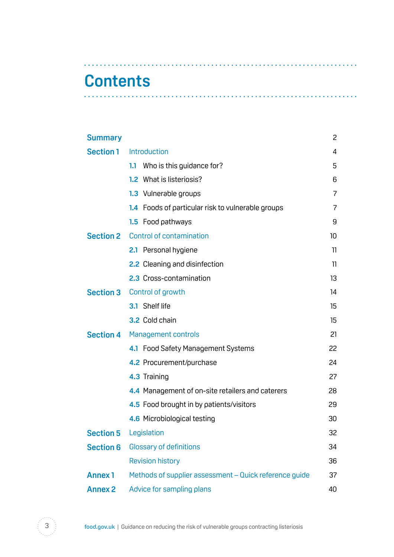# **Contents**

| <b>Summary</b>   |                                                        | 2              |
|------------------|--------------------------------------------------------|----------------|
| <b>Section 1</b> | Introduction                                           | 4              |
|                  | 1.1 Who is this guidance for?                          | 5              |
|                  | What is listeriosis?<br>1.2                            | 6              |
|                  | 1.3 Vulnerable groups                                  | $\overline{7}$ |
|                  | 1.4 Foods of particular risk to vulnerable groups      | $\overline{7}$ |
|                  | 1.5 Food pathways                                      | 9              |
|                  | <b>Section 2</b> Control of contamination              | 10             |
|                  | 2.1 Personal hygiene                                   | 11             |
|                  | <b>2.2</b> Cleaning and disinfection                   | 11             |
|                  | 2.3 Cross-contamination                                | 13             |
|                  | <b>Section 3</b> Control of growth                     | 14             |
|                  | 3.1 Shelf life                                         | 15             |
|                  | 3.2 Cold chain                                         | 15             |
| <b>Section 4</b> | Management controls                                    | 21             |
|                  | 4.1 Food Safety Management Systems                     | 22             |
|                  | 4.2 Procurement/purchase                               | 24             |
|                  | 4.3 Training                                           | 27             |
|                  | 4.4 Management of on-site retailers and caterers       | 28             |
|                  | 4.5 Food brought in by patients/visitors               | 29             |
|                  | 4.6 Microbiological testing                            | 30             |
| <b>Section 5</b> | Legislation                                            | 32             |
| <b>Section 6</b> | <b>Glossary of definitions</b>                         | 34             |
|                  | <b>Revision history</b>                                | 36             |
| <b>Annex1</b>    | Methods of supplier assessment - Quick reference guide | 37             |
| <b>Annex 2</b>   | Advice for sampling plans                              | 40             |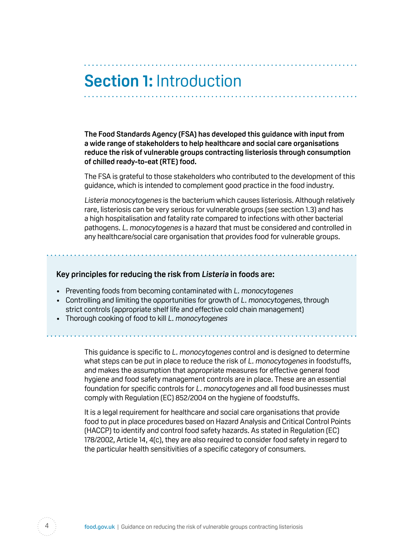# <span id="page-3-0"></span>**Section 1:** Introduction

**The Food Standards Agency (FSA) has developed this guidance with input from a wide range of stakeholders to help healthcare and social care organisations reduce the risk of vulnerable groups contracting listeriosis through consumption of chilled ready-to-eat (RTE) food.** 

The FSA is grateful to those stakeholders who contributed to the development of this guidance, which is intended to complement good practice in the food industry.

Listeria monocytogenes is the bacterium which causes listeriosis. Although relatively rare, listeriosis can be very serious for vulnerable groups (see section 1.3) and has a high hospitalisation and fatality rate compared to infections with other bacterial pathogens. L. monocytogenes is a hazard that must be considered and controlled in any healthcare/social care organisation that provides food for vulnerable groups.

#### **Key principles for reducing the risk from Listeria in foods are:**

- Preventing foods from becoming contaminated with L, monocytogenes
- Controlling and limiting the opportunities for growth of L. monocytogenes, through strict controls (appropriate shelf life and effective cold chain management)
- Thorough cooking of food to kill L. monocytogenes

This guidance is specific to L. monocytogenes control and is designed to determine what steps can be put in place to reduce the risk of L. monocytogenes in foodstuffs, and makes the assumption that appropriate measures for effective general food hygiene and food safety management controls are in place. These are an essential foundation for specific controls for L. monocytogenes and all food businesses must comply with Regulation (EC) 852/2004 on the hygiene of foodstuffs.

It is a legal requirement for healthcare and social care organisations that provide food to put in place procedures based on Hazard Analysis and Critical Control Points (HACCP) to identify and control food safety hazards. As stated in Regulation (EC) 178/2002, Article 14, 4(c), they are also required to consider food safety in regard to the particular health sensitivities of a specific category of consumers.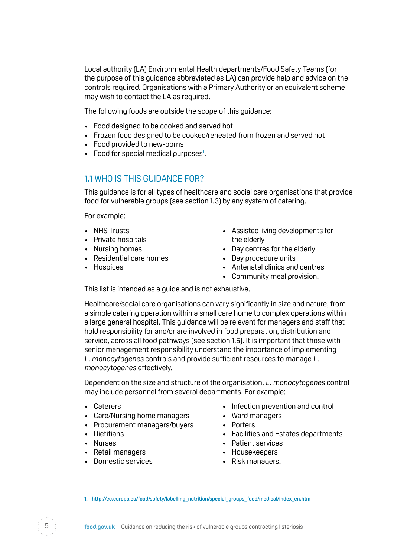<span id="page-4-0"></span>Local authority (LA) Environmental Health departments/Food Safety Teams (for the purpose of this guidance abbreviated as LA) can provide help and advice on the controls required. Organisations with a Primary Authority or an equivalent scheme may wish to contact the LA as required.

The following foods are outside the scope of this guidance:

- • Food designed to be cooked and served hot
- Frozen food designed to be cooked/reheated from frozen and served hot
- • Food provided to new-borns
- Food for special medical purposes<sup>1</sup>.

## **1.1** WHO IS THIS GUIDANCE FOR?

This guidance is for all types of healthcare and social care organisations that provide food for vulnerable groups (see section 1.3) by any system of catering.

For example:

- 
- Private hospitals by the elderly
- 
- Residential care homes Day procedure units
- 
- NHS Trusts  **Assisted living developments for**
- Nursing homes Day centres for the elderly
	-
- Hospices Antenatal clinics and centres
	- Community meal provision.

This list is intended as a quide and is not exhaustive.

Healthcare/social care organisations can vary significantly in size and nature, from a simple catering operation within a small care home to complex operations within a large general hospital. This guidance will be relevant for managers and staff that hold responsibility for and/or are involved in food preparation, distribution and service, across all food pathways (see section 1.5). It is important that those with senior management responsibility understand the importance of implementing L. monocytogenes controls and provide sufficient resources to manage L. monocytogenes effectively.

Dependent on the size and structure of the organisation, L. monocytogenes control may include personnel from several departments. For example:

- 
- Care/Nursing home managers Ward managers
- Procurement managers/buyers Porters
- 
- 
- 
- Domestic services **Risk managers.**
- Caterers Infection prevention and control
	-
	-
- Dietitians Contract Telecommunity of Tacilities and Estates departments
- Nurses Patient services
- Retail managers Housekeepers
	-

**1. [http://ec.europa.eu/food/safety/labelling\\_nutrition/special\\_groups\\_food/medical/index\\_en.htm](http://ec.europa.eu/food/safety/labelling_nutrition/special_groups_food/medical/index_en.htm)** 

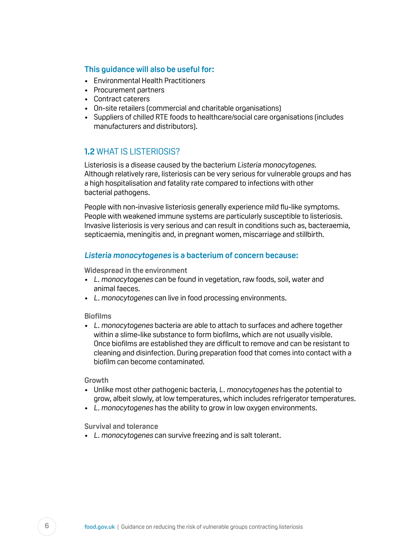#### <span id="page-5-0"></span>**This guidance will also be useful for:**

- • Environmental Health Practitioners
- Procurement partners
- • Contract caterers
- • On-site retailers (commercial and charitable organisations)
- Suppliers of chilled RTE foods to healthcare/social care organisations (includes manufacturers and distributors).

## **1.2** WHAT IS LISTERIOSIS?

Listeriosis is a disease caused by the bacterium Listeria monocytogenes. Although relatively rare, listeriosis can be very serious for vulnerable groups and has a high hospitalisation and fatality rate compared to infections with other bacterial pathogens.

People with non-invasive listeriosis generally experience mild flu-like symptoms. People with weakened immune systems are particularly susceptible to listeriosis. Invasive listeriosis is very serious and can result in conditions such as, bacteraemia, septicaemia, meningitis and, in pregnant women, miscarriage and stillbirth.

#### **Listeria monocytogenes is a bacterium of concern because:**

**Widespread in the environment** 

- L. monocytogenes can be found in vegetation, raw foods, soil, water and animal faeces.
- L. monocytogenes can live in food processing environments.

#### **Biofilms**

• L. monocytogenes bacteria are able to attach to surfaces and adhere together within a slime-like substance to form biofilms, which are not usually visible. Once biofilms are established they are difficult to remove and can be resistant to cleaning and disinfection. During preparation food that comes into contact with a biofilm can become contaminated.

#### **Growth**

- Unlike most other pathogenic bacteria, L. monocytogenes has the potential to grow, albeit slowly, at low temperatures, which includes refrigerator temperatures.
- L. monocytogenes has the ability to grow in low oxygen environments.

**Survival and tolerance** 

• L. monocytogenes can survive freezing and is salt tolerant.

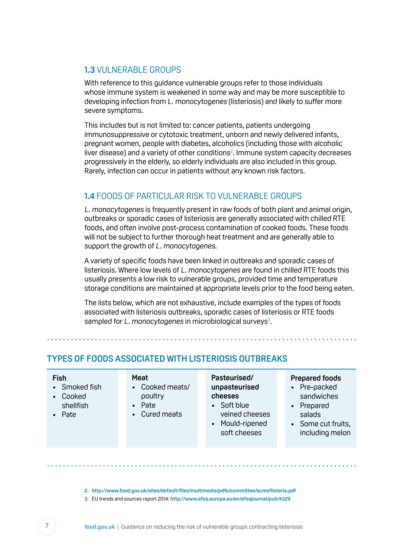## <span id="page-6-0"></span>**1.3 VULNERABLE GROUPS**

With reference to this guidance vulnerable groups refer to those individuals whose immune system is weakened in some way and may be more susceptible to developing infection from L. monocytogenes (listeriosis) and likely to suffer more severe symptoms.

This includes but is not limited to: cancer patients, patients undergoing immunosuppressive or cytotoxic treatment, unborn and newly delivered infants, pregnant women, people with diabetes, alcoholics (including those with alcoholic liver disease) and a variety of other conditions<sup>2</sup>. Immune system capacity decreases progressively in the elderly, so elderly individuals are also included in this group. Rarely, infection can occur in patients without any known risk factors.

## **1.4** FOODS OF PARTICULAR RISK TO VULNERABLE GROUPS

L. monocytogenes is frequently present in raw foods of both plant and animal origin, outbreaks or sporadic cases of listeriosis are generally associated with chilled RTE foods, and often involve post-process contamination of cooked foods. These foods will not be subject to further thorough heat treatment and are generally able to support the growth of L. monocytogenes.

A variety of specific foods have been linked in outbreaks and sporadic cases of listeriosis. Where low levels of L. monocytogenes are found in chilled RTE foods this usually presents a low risk to vulnerable groups, provided time and temperature storage conditions are maintained at appropriate levels prior to the food being eaten.

The lists below, which are not exhaustive, include examples of the types of foods associated with listeriosis outbreaks, sporadic cases of listeriosis or RTE foods sampled for  $L$ . monocytogenes in microbiological surveys $3$ .

| Pasteurised/<br>Meat<br><b>Fish</b><br>• Cooked meats/<br>unpasteurised<br>• Smoked fish<br>cheeses<br>poultry<br>Cooked<br>Soft blue<br>Pate<br>shellfish<br>• Cured meats<br>• Pate | <b>Prepared foods</b><br>• Pre-packed<br>sandwiches<br>Prepared<br>$\bullet$<br>veined cheeses<br>salads<br>Mould-ripened<br>• Some cut fruits,<br>soft cheeses<br>including melon |
|---------------------------------------------------------------------------------------------------------------------------------------------------------------------------------------|------------------------------------------------------------------------------------------------------------------------------------------------------------------------------------|
|---------------------------------------------------------------------------------------------------------------------------------------------------------------------------------------|------------------------------------------------------------------------------------------------------------------------------------------------------------------------------------|

**2. <http://www.food.gov.uk/sites/default/files/multimedia/pdfs/committee/acmsflisteria.pdf>**

**3.** EU trends and sources report 2014: **<http://www.efsa.europa.eu/en/efsajournal/pub/4329>**

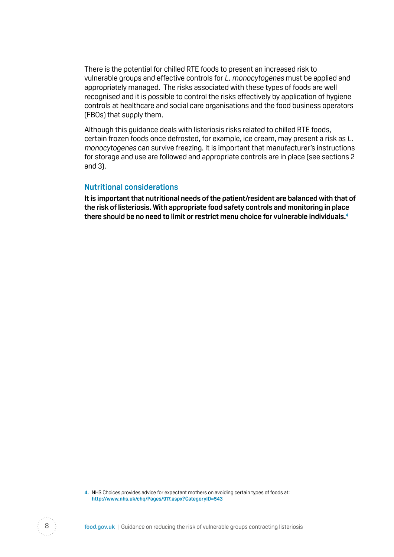There is the potential for chilled RTE foods to present an increased risk to vulnerable groups and effective controls for L. monocytogenes must be applied and appropriately managed. The risks associated with these types of foods are well recognised and it is possible to control the risks effectively by application of hygiene controls at healthcare and social care organisations and the food business operators (FBOs) that supply them.

Although this guidance deals with listeriosis risks related to chilled RTE foods, certain frozen foods once defrosted, for example, ice cream, may present a risk as L. monocytogenes can survive freezing. It is important that manufacturer's instructions for storage and use are followed and appropriate controls are in place (see sections 2 and 3).

#### **Nutritional considerations**

**It is important that nutritional needs of the patient/resident are balanced with that of the risk of listeriosis. With appropriate food safety controls and monitoring in place there should be no need to limit or restrict menu choice for vulnerable individuals.4** 

 **4.** NHS Choices provides advice for expectant mothers on avoiding certain types of foods at: **[http://www.nhs.uk/chq/Pages/917.aspx?Categor yID=543](http://www.nhs.uk/chq/Pages/917.aspx?CategoryID=543)** 

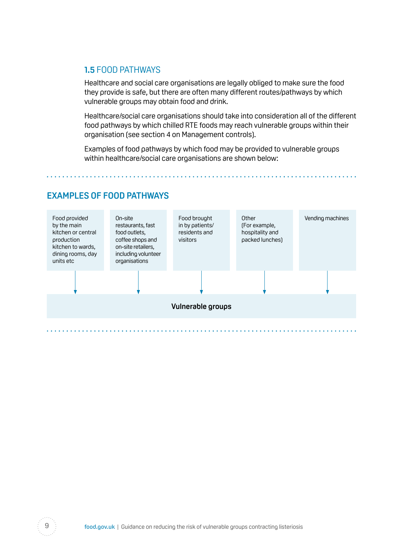### <span id="page-8-0"></span>**1.5** FOOD PATHWAYS

Healthcare and social care organisations are legally obliged to make sure the food they provide is safe, but there are often many different routes/pathways by which vulnerable groups may obtain food and drink.

Healthcare/social care organisations should take into consideration all of the different food pathways by which chilled RTE foods may reach vulnerable groups within their organisation (see section 4 on Management controls).

Examples of food pathways by which food may be provided to vulnerable groups within healthcare/social care organisations are shown below:

### **EXAMPLES OF FOOD PATHWAYS**



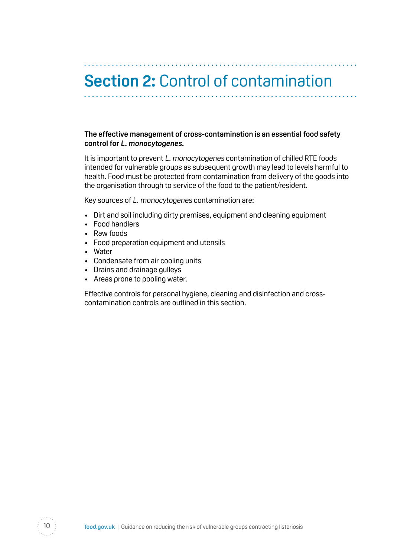# <span id="page-9-0"></span>**Section 2:** Control of contamination

#### **The effective management of cross-contamination is an essential food safety control for L. monocytogenes.**

It is important to prevent L. monocytogenes contamination of chilled RTE foods intended for vulnerable groups as subsequent growth may lead to levels harmful to health. Food must be protected from contamination from delivery of the goods into the organisation through to service of the food to the patient/resident.

Key sources of L. monocytogenes contamination are:

- Dirt and soil including dirty premises, equipment and cleaning equipment
- Food handlers
- Raw foods
- Food preparation equipment and utensils
- Water
- Condensate from air cooling units
- Drains and drainage gulleys
- Areas prone to pooling water.

Effective controls for personal hygiene, cleaning and disinfection and crosscontamination controls are outlined in this section.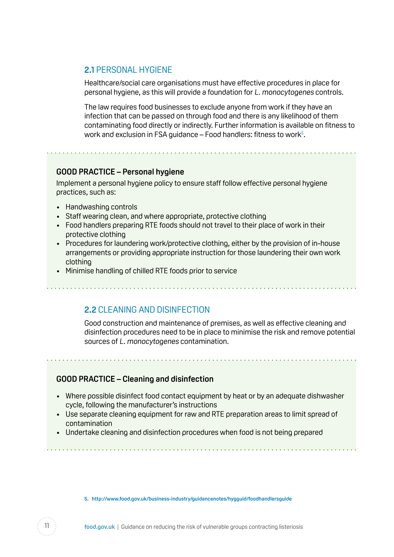### <span id="page-10-0"></span>**2.1** PERSONAL HYGIENE

Healthcare/social care organisations must have effective procedures in place for personal hygiene, as this will provide a foundation for L. monocytogenes controls.

The law requires food businesses to exclude anyone from work if they have an infection that can be passed on through food and there is any likelihood of them contaminating food directly or indirectly. Further information is available on fitness to work and exclusion in FSA guidance – Food handlers: fitness to work<sup>5</sup>.

#### **GOOD PRACTICE – Personal hygiene**

Implement a personal hygiene policy to ensure staff follow effective personal hygiene practices, such as:

- Handwashing controls
- Staff wearing clean, and where appropriate, protective clothing
- Food handlers preparing RTE foods should not travel to their place of work in their protective clothing
- Procedures for laundering work/protective clothing, either by the provision of in-house arrangements or providing appropriate instruction for those laundering their own work clothing
- Minimise handling of chilled RTE foods prior to service

**2.2** CLEANING AND DISINFECTION

Good construction and maintenance of premises, as well as effective cleaning and disinfection procedures need to be in place to minimise the risk and remove potential sources of L. monocytogenes contamination.

#### **GOOD PRACTICE – Cleaning and disinfection**

- Where possible disinfect food contact equipment by heat or by an adequate dishwasher cycle, following the manufacturer's instructions
- Use separate cleaning equipment for raw and RTE preparation areas to limit spread of contamination
- Undertake cleaning and disinfection procedures when food is not being prepared

**5. [http://www.food.gov.uk/business-industr y/guidancenotes/hygguid/foodhandlersguide](http://www.food.gov.uk/business-industry/guidancenotes/hygguid/foodhandlersguide)**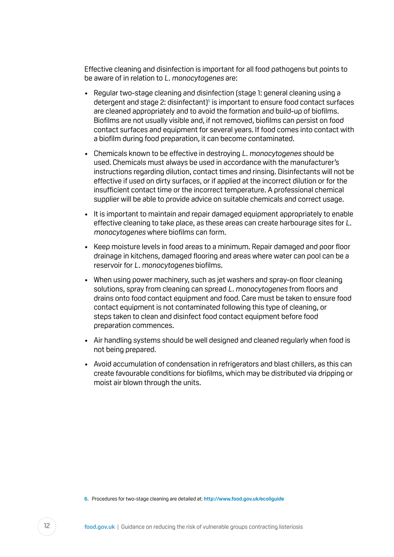Effective cleaning and disinfection is important for all food pathogens but points to be aware of in relation to L. monocytogenes are:

- Regular two-stage cleaning and disinfection (stage 1: general cleaning using a detergent and stage 2: disinfectant) $\delta$  is important to ensure food contact surfaces are cleaned appropriately and to avoid the formation and build-up of biofilms. Biofilms are not usually visible and, if not removed, biofilms can persist on food contact surfaces and equipment for several years. If food comes into contact with a biofilm during food preparation, it can become contaminated.
- Chemicals known to be effective in destroying L. monocytogenes should be used. Chemicals must always be used in accordance with the manufacturer's instructions regarding dilution, contact times and rinsing. Disinfectants will not be effective if used on dirty surfaces, or if applied at the incorrect dilution or for the insufficient contact time or the incorrect temperature. A professional chemical supplier will be able to provide advice on suitable chemicals and correct usage.
- It is important to maintain and repair damaged equipment appropriately to enable effective cleaning to take place, as these areas can create harbourage sites for L. monocytogenes where biofilms can form.
- Keep moisture levels in food areas to a minimum. Repair damaged and poor floor drainage in kitchens, damaged flooring and areas where water can pool can be a reservoir for L. monocytogenes biofilms.
- When using power machinery, such as jet washers and spray-on floor cleaning solutions, spray from cleaning can spread L. monocytogenes from floors and drains onto food contact equipment and food. Care must be taken to ensure food contact equipment is not contaminated following this type of cleaning, or steps taken to clean and disinfect food contact equipment before food preparation commences.
- Air handling systems should be well designed and cleaned regularly when food is not being prepared.
- • Avoid accumulation of condensation in refrigerators and blast chillers, as this can create favourable conditions for biofilms, which may be distributed via dripping or moist air blown through the units.



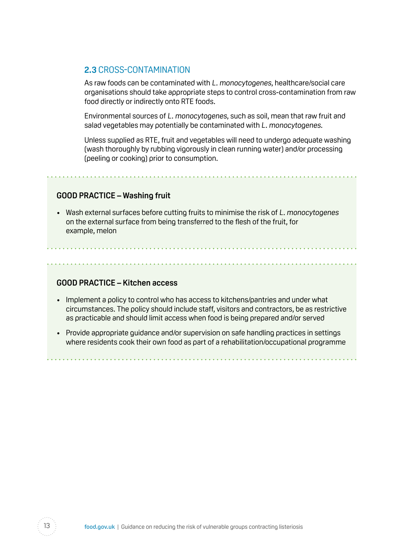### <span id="page-12-0"></span>**2.3** CROSS-CONTAMINATION

As raw foods can be contaminated with L. monocytogenes, healthcare/social care organisations should take appropriate steps to control cross-contamination from raw food directly or indirectly onto RTE foods.

Environmental sources of L. monocytogenes, such as soil, mean that raw fruit and salad vegetables may potentially be contaminated with L. monocytogenes.

Unless supplied as RTE, fruit and vegetables will need to undergo adequate washing (wash thoroughly by rubbing vigorously in clean running water) and/or processing (peeling or cooking) prior to consumption.

#### **GOOD PRACTICE – Washing fruit**

• Wash external surfaces before cutting fruits to minimise the risk of L. monocytogenes on the external surface from being transferred to the flesh of the fruit, for example, melon

#### **GOOD PRACTICE – Kitchen access**

- Implement a policy to control who has access to kitchens/pantries and under what circumstances. The policy should include staff, visitors and contractors, be as restrictive as practicable and should limit access when food is being prepared and/or served
- Provide appropriate quidance and/or supervision on safe handling practices in settings where residents cook their own food as part of a rehabilitation/occupational programme

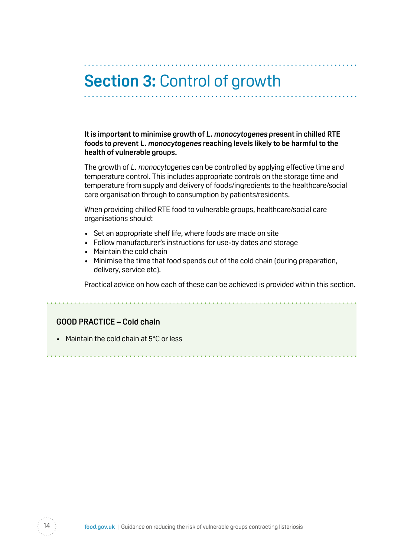# <span id="page-13-0"></span>**Section 3:** Control of growth

**It is important to minimise growth of L. monocytogenes present in chilled RTE foods to prevent L. monocytogenes reaching levels likely to be harmful to the health of vulnerable groups.** 

The growth of L. monocytogenes can be controlled by applying effective time and temperature control. This includes appropriate controls on the storage time and temperature from supply and delivery of foods/ingredients to the healthcare/social care organisation through to consumption by patients/residents.

When providing chilled RTE food to vulnerable groups, healthcare/social care organisations should:

- Set an appropriate shelf life, where foods are made on site
- Follow manufacturer's instructions for use-by dates and storage
- Maintain the cold chain
- Minimise the time that food spends out of the cold chain (during preparation, delivery, service etc).

Practical advice on how each of these can be achieved is provided within this section.

#### **GOOD PRACTICE – Cold chain**

• Maintain the cold chain at 5°C or less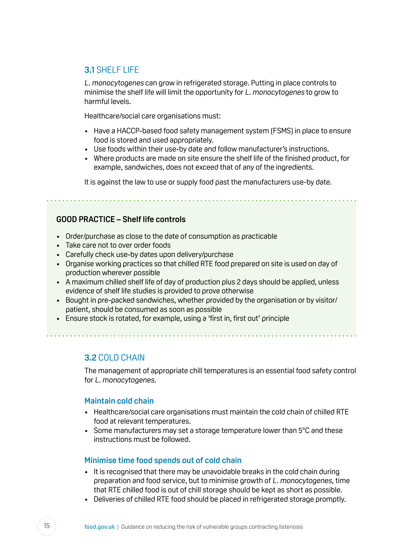### <span id="page-14-0"></span>**3.1** SHELF LIFE

L. monocytogenes can grow in refrigerated storage. Putting in place controls to minimise the shelf life will limit the opportunity for L. monocytogenes to grow to harmful levels.

Healthcare/social care organisations must:

- Have a HACCP-based food safety management system (FSMS) in place to ensure food is stored and used appropriately.
- Use foods within their use-by date and follow manufacturer's instructions.
- Where products are made on site ensure the shelf life of the finished product, for example, sandwiches, does not exceed that of any of the ingredients.

It is against the law to use or supply food past the manufacturers use-by date.

#### **GOOD PRACTICE – Shelf life controls**

- Order/purchase as close to the date of consumption as practicable
- Take care not to over order foods
- Carefully check use-by dates upon delivery/purchase
- Organise working practices so that chilled RTE food prepared on site is used on day of production wherever possible
- A maximum chilled shelf life of day of production plus 2 days should be applied, unless evidence of shelf life studies is provided to prove otherwise
- Bought in pre-packed sandwiches, whether provided by the organisation or by visitor/ patient, should be consumed as soon as possible

• Ensure stock is rotated, for example, using a 'first in, first out' principle

**3.2** COLD CHAIN

The management of appropriate chill temperatures is an essential food safety control for L. monocytogenes.

#### **Maintain cold chain**

- Healthcare/social care organisations must maintain the cold chain of chilled RTE food at relevant temperatures.
- Some manufacturers may set a storage temperature lower than 5°C and these instructions must be followed.

#### **Minimise time food spends out of cold chain**

- It is recognised that there may be unavoidable breaks in the cold chain during preparation and food service, but to minimise growth of L. monocytogenes, time that RTE chilled food is out of chill storage should be kept as short as possible.
- Deliveries of chilled RTE food should be placed in refrigerated storage promptly.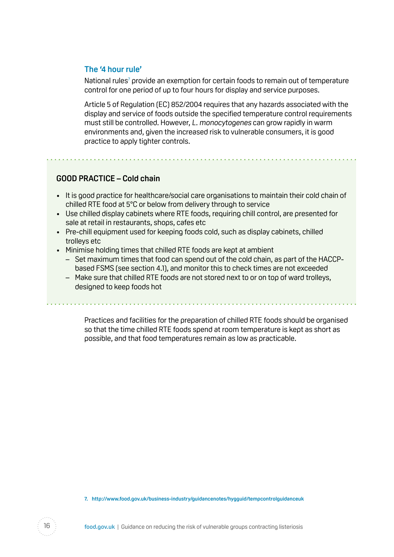#### **The '4 hour rule'**

National rules<sup>7</sup> provide an exemption for certain foods to remain out of temperature control for one period of up to four hours for display and service purposes.

Article 5 of Regulation (EC) 852/2004 requires that any hazards associated with the display and service of foods outside the specified temperature control requirements must still be controlled. However, L. monocytogenes can grow rapidly in warm environments and, given the increased risk to vulnerable consumers, it is good practice to apply tighter controls.

#### **GOOD PRACTICE – Cold chain**

- It is good practice for healthcare/social care organisations to maintain their cold chain of chilled RTE food at 5°C or below from delivery through to service
- Use chilled display cabinets where RTE foods, requiring chill control, are presented for sale at retail in restaurants, shops, cafes etc
- Pre-chill equipment used for keeping foods cold, such as display cabinets, chilled trolleys etc
- Minimise holding times that chilled RTE foods are kept at ambient
	- Set maximum times that food can spend out of the cold chain, as part of the HACCPbased FSMS (see section 4.1), and monitor this to check times are not exceeded
	- Make sure that chilled RTE foods are not stored next to or on top of ward trolleys, designed to keep foods hot

Practices and facilities for the preparation of chilled RTE foods should be organised so that the time chilled RTE foods spend at room temperature is kept as short as possible, and that food temperatures remain as low as practicable.

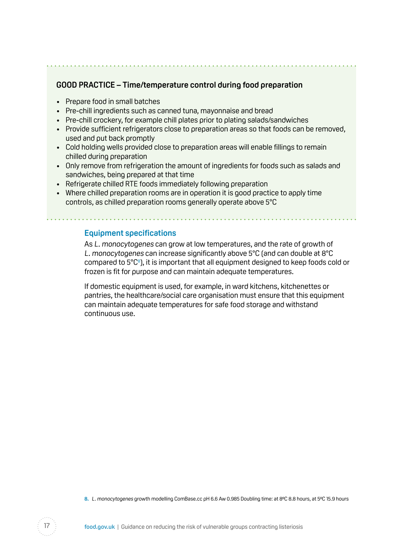#### **GOOD PRACTICE – Time/temperature control during food preparation**

- Prepare food in small batches
- Pre-chill ingredients such as canned tuna, mayonnaise and bread
- Pre-chill crockery, for example chill plates prior to plating salads/sandwiches
- Provide sufficient refrigerators close to preparation areas so that foods can be removed, used and put back promptly
- Cold holding wells provided close to preparation areas will enable fillings to remain chilled during preparation
- Only remove from refrigeration the amount of ingredients for foods such as salads and sandwiches, being prepared at that time
- Refrigerate chilled RTE foods immediately following preparation
- Where chilled preparation rooms are in operation it is good practice to apply time controls, as chilled preparation rooms generally operate above 5°C

#### **Equipment specifications**

a dia ana ana ana ana ana

As L. monocytogenes can grow at low temperatures, and the rate of growth of L. monocytogenes can increase significantly above 5°C (and can double at 8°C compared to  $5^{\circ}C^{\circ}$ ), it is important that all equipment designed to keep foods cold or frozen is fit for purpose and can maintain adequate temperatures.

If domestic equipment is used, for example, in ward kitchens, kitchenettes or pantries, the healthcare/social care organisation must ensure that this equipment can maintain adequate temperatures for safe food storage and withstand continuous use.

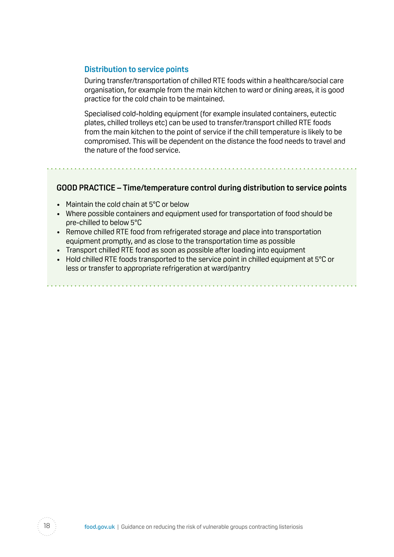#### **Distribution to service points**

During transfer/transportation of chilled RTE foods within a healthcare/social care organisation, for example from the main kitchen to ward or dining areas, it is good practice for the cold chain to be maintained.

Specialised cold-holding equipment (for example insulated containers, eutectic plates, chilled trolleys etc) can be used to transfer/transport chilled RTE foods from the main kitchen to the point of service if the chill temperature is likely to be compromised. This will be dependent on the distance the food needs to travel and the nature of the food service.

#### **GOOD PRACTICE – Time/temperature control during distribution to service points**

- Maintain the cold chain at 5°C or below
- Where possible containers and equipment used for transportation of food should be pre-chilled to below 5°C
- Remove chilled RTE food from refrigerated storage and place into transportation equipment promptly, and as close to the transportation time as possible
- Transport chilled RTE food as soon as possible after loading into equipment
- Hold chilled RTE foods transported to the service point in chilled equipment at 5°C or less or transfer to appropriate refrigeration at ward/pantry

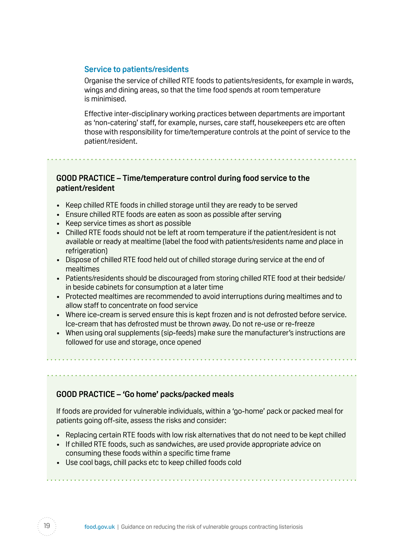#### **Service to patients/residents**

Organise the service of chilled RTE foods to patients/residents, for example in wards, wings and dining areas, so that the time food spends at room temperature is minimised.

Effective inter-disciplinary working practices between departments are important as 'non-catering' staff, for example, nurses, care staff, housekeepers etc are often those with responsibility for time/temperature controls at the point of service to the patient/resident.

#### **GOOD PRACTICE – Time/temperature control during food service to the patient/resident**

- Keep chilled RTE foods in chilled storage until they are ready to be served
- Ensure chilled RTE foods are eaten as soon as possible after serving
- Keep service times as short as possible
- Chilled RTE foods should not be left at room temperature if the patient/resident is not available or ready at mealtime (label the food with patients/residents name and place in refrigeration)
- Dispose of chilled RTE food held out of chilled storage during service at the end of mealtimes
- Patients/residents should be discouraged from storing chilled RTE food at their bedside/ in beside cabinets for consumption at a later time
- • Protected mealtimes are recommended to avoid interruptions during mealtimes and to allow staff to concentrate on food service
- Where ice-cream is served ensure this is kept frozen and is not defrosted before service. Ice-cream that has defrosted must be thrown away. Do not re-use or re-freeze
- When using oral supplements (sip-feeds) make sure the manufacturer's instructions are followed for use and storage, once opened

#### **GOOD PRACTICE – 'Go home' packs/packed meals**

If foods are provided for vulnerable individuals, within a 'go-home' pack or packed meal for patients going off-site, assess the risks and consider:

- Replacing certain RTE foods with low risk alternatives that do not need to be kept chilled
- If chilled RTE foods, such as sandwiches, are used provide appropriate advice on consuming these foods within a specific time frame
- Use cool bags, chill packs etc to keep chilled foods cold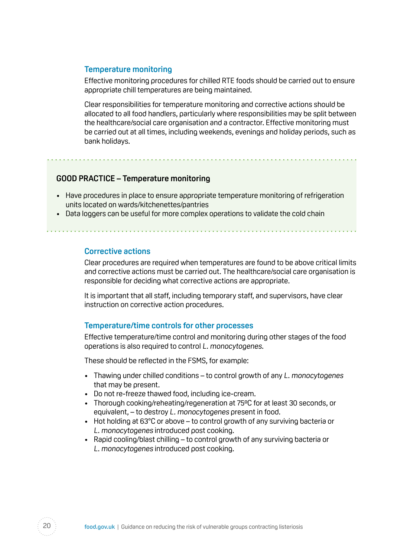#### **Temperature monitoring**

Effective monitoring procedures for chilled RTE foods should be carried out to ensure appropriate chill temperatures are being maintained.

Clear responsibilities for temperature monitoring and corrective actions should be allocated to all food handlers, particularly where responsibilities may be split between the healthcare/social care organisation and a contractor. Effective monitoring must be carried out at all times, including weekends, evenings and holiday periods, such as bank holidays.

#### **GOOD PRACTICE – Temperature monitoring**

- Have procedures in place to ensure appropriate temperature monitoring of refrigeration units located on wards/kitchenettes/pantries
- Data loggers can be useful for more complex operations to validate the cold chain

#### **Corrective actions**

Clear procedures are required when temperatures are found to be above critical limits and corrective actions must be carried out. The healthcare/social care organisation is responsible for deciding what corrective actions are appropriate.

It is important that all staff, including temporary staff, and supervisors, have clear instruction on corrective action procedures.

#### **Temperature/time controls for other processes**

Effective temperature/time control and monitoring during other stages of the food operations is also required to control L. monocytogenes.

These should be reflected in the FSMS, for example:

- Thawing under chilled conditions to control growth of any L. monocytogenes that may be present.
- Do not re-freeze thawed food, including ice-cream.
- Thorough cooking/reheating/regeneration at 75°C for at least 30 seconds, or equivalent, – to destroy L. monocytogenes present in food.
- Hot holding at 63°C or above to control growth of any surviving bacteria or L. monocytogenes introduced post cooking.
- Rapid cooling/blast chilling to control growth of any surviving bacteria or L. monocytogenes introduced post cooking.

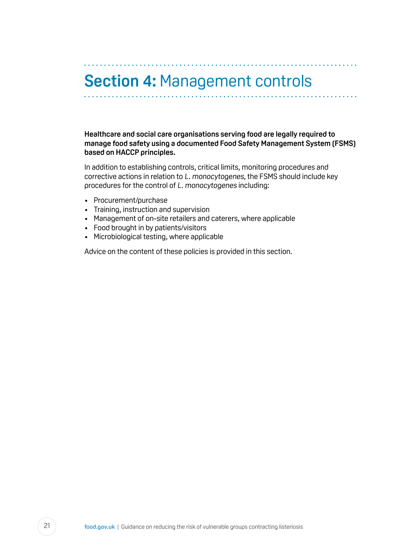# <span id="page-20-0"></span>**Section 4:** Management controls

**Healthcare and social care organisations serving food are legally required to manage food safety using a documented Food Safety Management System (FSMS) based on HACCP principles.** 

In addition to establishing controls, critical limits, monitoring procedures and corrective actions in relation to L. monocytogenes, the FSMS should include key procedures for the control of L. monocytogenes including:

- Procurement/purchase
- Training, instruction and supervision
- Management of on-site retailers and caterers, where applicable
- Food brought in by patients/visitors
- Microbiological testing, where applicable

Advice on the content of these policies is provided in this section.

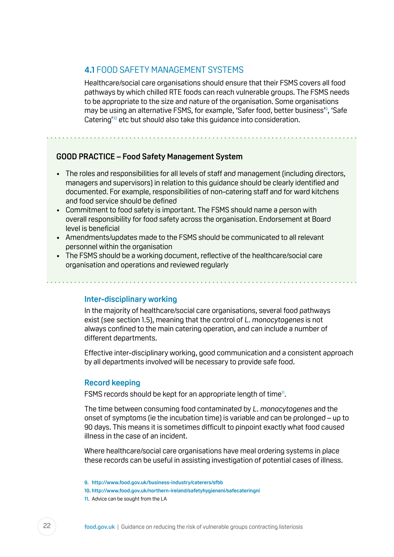#### <span id="page-21-0"></span>**4.1** FOOD SAFETY MANAGEMENT SYSTEMS

Healthcare/social care organisations should ensure that their FSMS covers all food pathways by which chilled RTE foods can reach vulnerable groups. The FSMS needs to be appropriate to the size and nature of the organisation. Some organisations may be using an alternative FSMS, for example, 'Safer food, better business'9 , 'Safe Catering<sup>10</sup> etc but should also take this quidance into consideration.

#### **GOOD PRACTICE – Food Safety Management System**

- The roles and responsibilities for all levels of staff and management (including directors, managers and supervisors) in relation to this guidance should be clearly identified and documented. For example, responsibilities of non-catering staff and for ward kitchens and food service should be defined
- Commitment to food safety is important. The FSMS should name a person with overall responsibility for food safety across the organisation. Endorsement at Board level is beneficial
- • Amendments/updates made to the FSMS should be communicated to all relevant personnel within the organisation
- The FSMS should be a working document, reflective of the healthcare/social care organisation and operations and reviewed regularly

#### **Inter-disciplinary working**

In the majority of healthcare/social care organisations, several food pathways exist (see section 1.5), meaning that the control of L. monocytogenes is not always confined to the main catering operation, and can include a number of different departments.

Effective inter-disciplinary working, good communication and a consistent approach by all departments involved will be necessary to provide safe food.

#### **Record keeping**

FSMS records should be kept for an appropriate length of time<sup>n</sup>.

The time between consuming food contaminated by L. monocytogenes and the onset of symptoms (ie the incubation time) is variable and can be prolonged – up to 90 days. This means it is sometimes difficult to pinpoint exactly what food caused illness in the case of an incident.

Where healthcare/social care organisations have meal ordering systems in place these records can be useful in assisting investigation of potential cases of illness.



**<sup>9.</sup> [http://www.food.gov.uk/business-industr y/caterers/sfbb](http://www.food.gov.uk/business-industry/caterers/sfbb)** 

**<sup>10.</sup> [http://www.food.gov.uk/northern-ireland/safetyhygieneni/safecateringni](http://www.food.gov.uk/northern-ireland/safetyhygieneni/safecateringni )** 

**<sup>11.</sup>** Advice can be sought from the LA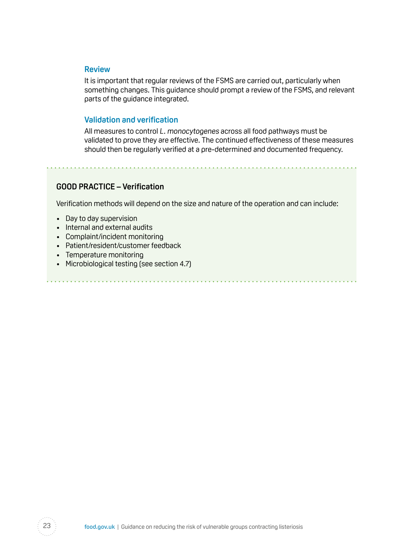#### **Review**

It is important that regular reviews of the FSMS are carried out, particularly when something changes. This guidance should prompt a review of the FSMS, and relevant parts of the guidance integrated.

#### **Validation and verification**

All measures to control L. monocytogenes across all food pathways must be validated to prove they are effective. The continued effectiveness of these measures should then be regularly verified at a pre-determined and documented frequency.

#### **GOOD PRACTICE – Verification**

Verification methods will depend on the size and nature of the operation and can include:

- Day to day supervision
- Internal and external audits
- Complaint/incident monitoring
- Patient/resident/customer feedback
- Temperature monitoring
- Microbiological testing (see section 4.7)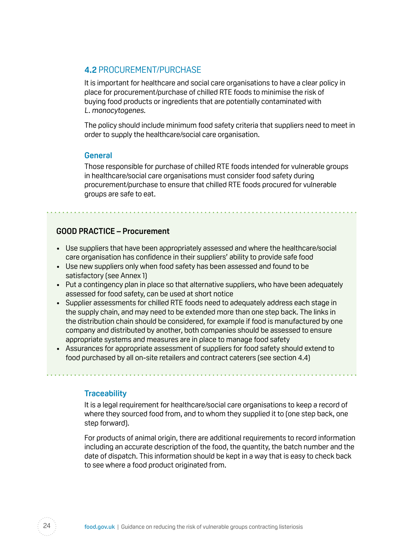#### <span id="page-23-0"></span>**4.2** PROCUREMENT/PURCHASE

It is important for healthcare and social care organisations to have a clear policy in place for procurement/purchase of chilled RTE foods to minimise the risk of buying food products or ingredients that are potentially contaminated with L. monocytogenes.

The policy should include minimum food safety criteria that suppliers need to meet in order to supply the healthcare/social care organisation.

#### **General**

Those responsible for purchase of chilled RTE foods intended for vulnerable groups in healthcare/social care organisations must consider food safety during procurement/purchase to ensure that chilled RTE foods procured for vulnerable groups are safe to eat.

#### **GOOD PRACTICE – Procurement**

- Use suppliers that have been appropriately assessed and where the healthcare/social care organisation has confidence in their suppliers' ability to provide safe food
- Use new suppliers only when food safety has been assessed and found to be satisfactory (see Annex 1)
- Put a contingency plan in place so that alternative suppliers, who have been adequately assessed for food safety, can be used at short notice
- Supplier assessments for chilled RTE foods need to adequately address each stage in the supply chain, and may need to be extended more than one step back. The links in the distribution chain should be considered, for example if food is manufactured by one company and distributed by another, both companies should be assessed to ensure appropriate systems and measures are in place to manage food safety
- Assurances for appropriate assessment of suppliers for food safety should extend to food purchased by all on-site retailers and contract caterers (see section 4.4)

#### **Traceability**

It is a legal requirement for healthcare/social care organisations to keep a record of where they sourced food from, and to whom they supplied it to (one step back, one step forward).

For products of animal origin, there are additional requirements to record information including an accurate description of the food, the quantity, the batch number and the date of dispatch. This information should be kept in a way that is easy to check back to see where a food product originated from.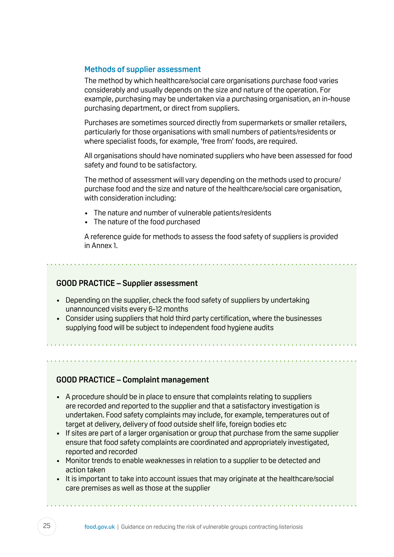#### **Methods of supplier assessment**

The method by which healthcare/social care organisations purchase food varies considerably and usually depends on the size and nature of the operation. For example, purchasing may be undertaken via a purchasing organisation, an in-house purchasing department, or direct from suppliers.

Purchases are sometimes sourced directly from supermarkets or smaller retailers, particularly for those organisations with small numbers of patients/residents or where specialist foods, for example, 'free from' foods, are required.

All organisations should have nominated suppliers who have been assessed for food safety and found to be satisfactory.

The method of assessment will vary depending on the methods used to procure/ purchase food and the size and nature of the healthcare/social care organisation, with consideration including:

- The nature and number of vulnerable patients/residents
- The nature of the food purchased

A reference guide for methods to assess the food safety of suppliers is provided in Annex 1.

#### **GOOD PRACTICE – Supplier assessment**

- Depending on the supplier, check the food safety of suppliers by undertaking unannounced visits every 6-12 months
- Consider using suppliers that hold third party certification, where the businesses supplying food will be subject to independent food hygiene audits

**GOOD PRACTICE – Complaint management** 

- • A procedure should be in place to ensure that complaints relating to suppliers are recorded and reported to the supplier and that a satisfactory investigation is undertaken. Food safety complaints may include, for example, temperatures out of target at delivery, delivery of food outside shelf life, foreign bodies etc
- If sites are part of a larger organisation or group that purchase from the same supplier ensure that food safety complaints are coordinated and appropriately investigated, reported and recorded
- • Monitor trends to enable weaknesses in relation to a supplier to be detected and action taken
- It is important to take into account issues that may originate at the healthcare/social care premises as well as those at the supplier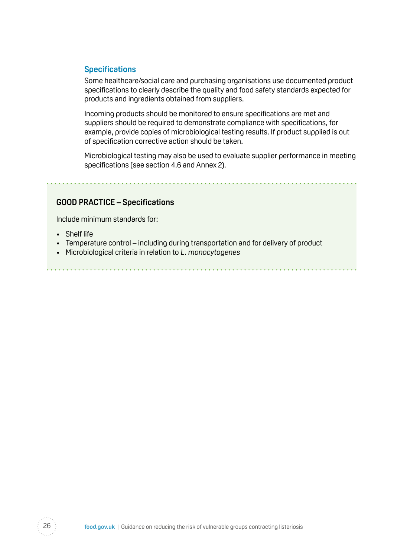#### **Specifications**

Some healthcare/social care and purchasing organisations use documented product specifications to clearly describe the quality and food safety standards expected for products and ingredients obtained from suppliers.

Incoming products should be monitored to ensure specifications are met and suppliers should be required to demonstrate compliance with specifications, for example, provide copies of microbiological testing results. If product supplied is out of specification corrective action should be taken.

Microbiological testing may also be used to evaluate supplier performance in meeting specifications (see section 4.6 and Annex 2).

#### **GOOD PRACTICE – Specifications**

Include minimum standards for:

- Shelf life
- Temperature control including during transportation and for delivery of product
- Microbiological criteria in relation to L. monocytogenes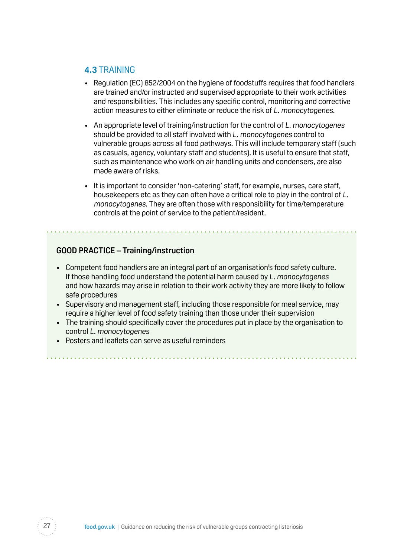#### <span id="page-26-0"></span>**4.3** TRAINING

- Regulation (EC) 852/2004 on the hygiene of foodstuffs reguires that food handlers are trained and/or instructed and supervised appropriate to their work activities and responsibilities. This includes any specific control, monitoring and corrective action measures to either eliminate or reduce the risk of L. monocytogenes.
- An appropriate level of training/instruction for the control of L. monocytogenes should be provided to all staff involved with L. monocytogenes control to vulnerable groups across all food pathways. This will include temporary staff (such as casuals, agency, voluntary staff and students). It is useful to ensure that staff, such as maintenance who work on air handling units and condensers, are also made aware of risks.
- It is important to consider 'non-catering' staff, for example, nurses, care staff, housekeepers etc as they can often have a critical role to play in the control of L. monocytogenes. They are often those with responsibility for time/temperature controls at the point of service to the patient/resident.

### **GOOD PRACTICE – Training/instruction**

- • Competent food handlers are an integral part of an organisation's food safety culture. If those handling food understand the potential harm caused by L. monocytogenes and how hazards may arise in relation to their work activity they are more likely to follow safe procedures
- Supervisory and management staff, including those responsible for meal service, may require a higher level of food safety training than those under their supervision
- The training should specifically cover the procedures put in place by the organisation to control L. monocytogenes
- Posters and leaflets can serve as useful reminders

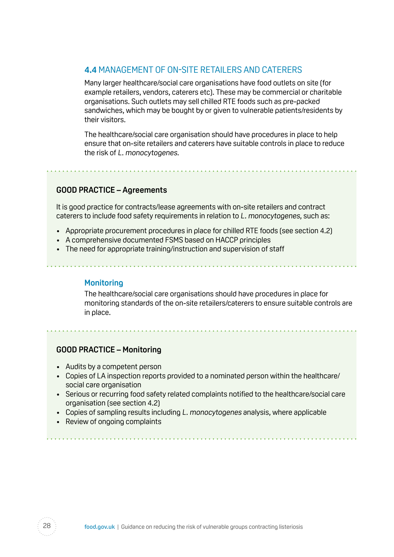### <span id="page-27-0"></span>**4.4** MANAGEMENT OF ON-SITE RETAILERS AND CATERERS

Many larger healthcare/social care organisations have food outlets on site (for example retailers, vendors, caterers etc). These may be commercial or charitable organisations. Such outlets may sell chilled RTE foods such as pre-packed sandwiches, which may be bought by or given to vulnerable patients/residents by their visitors.

The healthcare/social care organisation should have procedures in place to help ensure that on-site retailers and caterers have suitable controls in place to reduce the risk of L. monocytogenes.

#### **GOOD PRACTICE – Agreements**

It is good practice for contracts/lease agreements with on-site retailers and contract caterers to include food safety requirements in relation to L. monocytogenes, such as:

- Appropriate procurement procedures in place for chilled RTE foods (see section 4.2)
- A comprehensive documented FSMS based on HACCP principles
- The need for appropriate training/instruction and supervision of staff

#### **Monitoring**

The healthcare/social care organisations should have procedures in place for monitoring standards of the on-site retailers/caterers to ensure suitable controls are in place.

#### **GOOD PRACTICE – Monitoring**

- Audits by a competent person
- Copies of LA inspection reports provided to a nominated person within the healthcare/ social care organisation
- Serious or recurring food safety related complaints notified to the healthcare/social care organisation (see section 4.2)

- Copies of sampling results including L. monocytogenes analysis, where applicable
- Review of ongoing complaints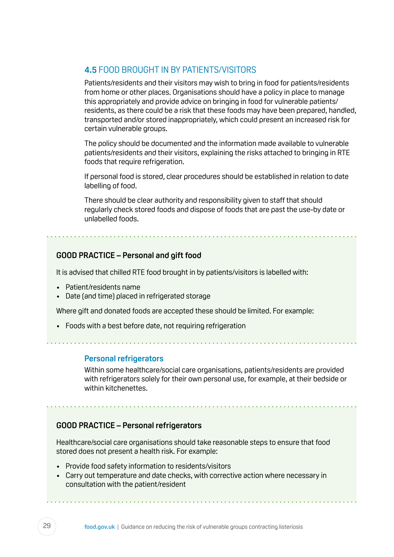## <span id="page-28-0"></span>**4.5** FOOD BROUGHT IN BY PATIENTS/VISITORS

Patients/residents and their visitors may wish to bring in food for patients/residents from home or other places. Organisations should have a policy in place to manage this appropriately and provide advice on bringing in food for vulnerable patients/ residents, as there could be a risk that these foods may have been prepared, handled, transported and/or stored inappropriately, which could present an increased risk for certain vulnerable groups.

The policy should be documented and the information made available to vulnerable patients/residents and their visitors, explaining the risks attached to bringing in RTE foods that require refrigeration.

If personal food is stored, clear procedures should be established in relation to date labelling of food.

There should be clear authority and responsibility given to staff that should regularly check stored foods and dispose of foods that are past the use-by date or unlabelled foods.

#### **GOOD PRACTICE – Personal and gift food**

It is advised that chilled RTE food brought in by patients/visitors is labelled with:

- • Patient/residents name
- Date (and time) placed in refrigerated storage

Where gift and donated foods are accepted these should be limited. For example:

• Foods with a best before date, not requiring refrigeration

#### **Personal refrigerators**

Within some healthcare/social care organisations, patients/residents are provided with refrigerators solely for their own personal use, for example, at their bedside or within kitchenettes.

#### **GOOD PRACTICE – Personal refrigerators**

Healthcare/social care organisations should take reasonable steps to ensure that food stored does not present a health risk. For example:

- Provide food safety information to residents/visitors
- • Carry out temperature and date checks, with corrective action where necessary in consultation with the patient/resident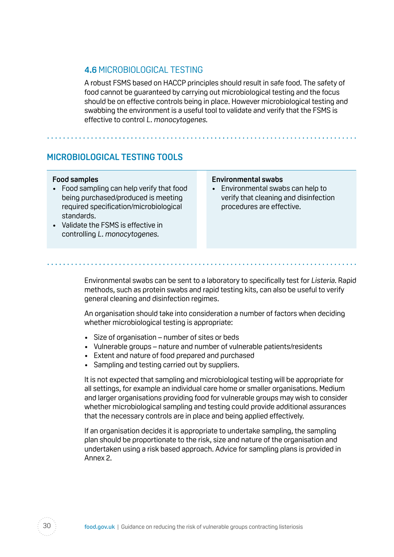### <span id="page-29-0"></span>**4.6** MICROBIOLOGICAL TESTING

A robust FSMS based on HACCP principles should result in safe food. The safety of food cannot be guaranteed by carrying out microbiological testing and the focus should be on effective controls being in place. However microbiological testing and swabbing the environment is a useful tool to validate and verify that the FSMS is effective to control L. monocytogenes.

## **MICROBIOLOGICAL TESTING TOOLS**

#### **Food samples**

- Food sampling can help verify that food being purchased/produced is meeting required specification/microbiological standards.
- Validate the FSMS is effective in controlling L. monocytogenes.

#### **Environmental swabs**

• Environmental swabs can help to verify that cleaning and disinfection procedures are effective.

Environmental swabs can be sent to a laboratory to specifically test for Listeria. Rapid methods, such as protein swabs and rapid testing kits, can also be useful to verify general cleaning and disinfection regimes.

An organisation should take into consideration a number of factors when deciding whether microbiological testing is appropriate:

- Size of organisation number of sites or beds
- Vulnerable groups nature and number of vulnerable patients/residents
- Extent and nature of food prepared and purchased
- Sampling and testing carried out by suppliers.

It is not expected that sampling and microbiological testing will be appropriate for all settings, for example an individual care home or smaller organisations. Medium and larger organisations providing food for vulnerable groups may wish to consider whether microbiological sampling and testing could provide additional assurances that the necessary controls are in place and being applied effectively.

If an organisation decides it is appropriate to undertake sampling, the sampling plan should be proportionate to the risk, size and nature of the organisation and undertaken using a risk based approach. Advice for sampling plans is provided in Annex 2.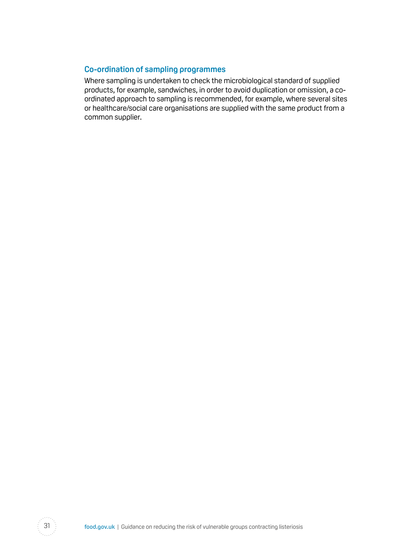#### **Co-ordination of sampling programmes**

Where sampling is undertaken to check the microbiological standard of supplied products, for example, sandwiches, in order to avoid duplication or omission, a coordinated approach to sampling is recommended, for example, where several sites or healthcare/social care organisations are supplied with the same product from a common supplier.

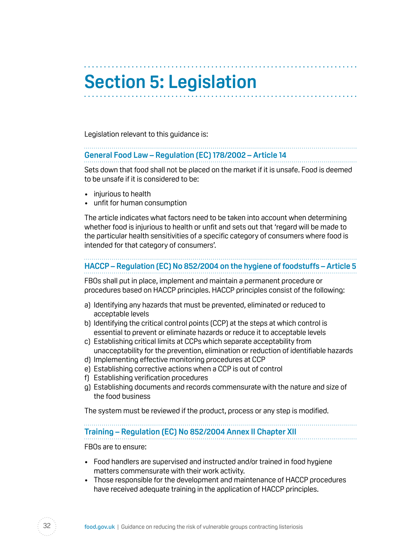# <span id="page-31-0"></span>**Section 5: Legislation**

Legislation relevant to this guidance is:

#### **General Food Law – Regulation (EC) 178/2002 – Article 14**

Sets down that food shall not be placed on the market if it is unsafe. Food is deemed to be unsafe if it is considered to be:

- • injurious to health
- unfit for human consumption

The article indicates what factors need to be taken into account when determining whether food is injurious to health or unfit and sets out that 'regard will be made to the particular health sensitivities of a specific category of consumers where food is intended for that category of consumers'.

## **HACCP – Regulation (EC) No 852/2004 on the hygiene of foodstuffs – Article 5**

FBOs shall put in place, implement and maintain a permanent procedure or procedures based on HACCP principles. HACCP principles consist of the following:

- a) Identifying any hazards that must be prevented, eliminated or reduced to acceptable levels
- b) Identifying the critical control points (CCP) at the steps at which control is essential to prevent or eliminate hazards or reduce it to acceptable levels
- c) Establishing critical limits at CCPs which separate acceptability from unacceptability for the prevention, elimination or reduction of identifiable hazards
- d) Implementing effective monitoring procedures at CCP
- e) Establishing corrective actions when a CCP is out of control
- f) Establishing verification procedures
- g) Establishing documents and records commensurate with the nature and size of the food business

The system must be reviewed if the product, process or any step is modified.

# **Training – Regulation (EC) No 852/2004 Annex II Chapter XII**

FBOs are to ensure:

- Food handlers are supervised and instructed and/or trained in food hygiene matters commensurate with their work activity.
- Those responsible for the development and maintenance of HACCP procedures have received adequate training in the application of HACCP principles.

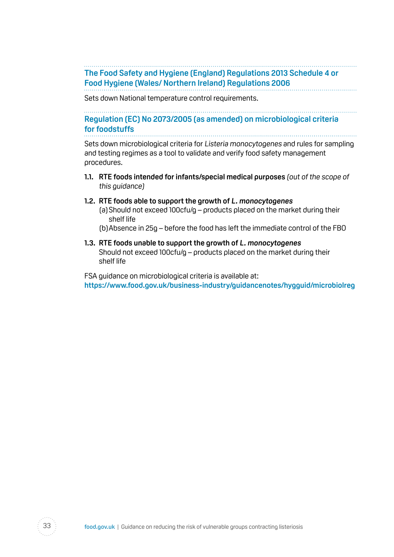**The Food Safety and Hygiene (England) Regulations 2013 Schedule 4 or Food Hygiene (Wales/ Northern Ireland) Regulations 2006** 

Sets down National temperature control requirements.

**Regulation (EC) No 2073/2005 (as amended) on microbiological criteria for foodstuffs**

Sets down microbiological criteria for Listeria monocytogenes and rules for sampling and testing regimes as a tool to validate and verify food safety management procedures.

**1.1.** RTE foods intended for infants/special medical purposes (out of the scope of this guidance)

#### **1.2. RTE foods able to support the growth of L. monocytogenes**

- (a) Should not exceed 100cfu/g products placed on the market during their shelf life
- (b) Absence in 25g before the food has left the immediate control of the FBO
- **1.3. RTE foods unable to support the growth of L. monocytogenes**  Should not exceed 100cfu/g – products placed on the market during their shelf life

FSA guidance on microbiological criteria is available at: **<https://www.food.gov.uk/business-industry/guidancenotes/hygguid/microbiolreg>**

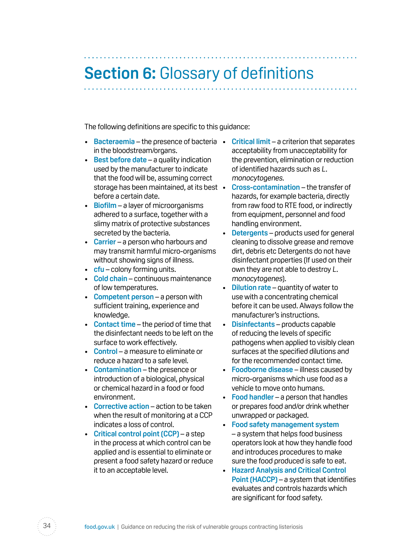# <span id="page-33-0"></span>**Section 6:** Glossary of definitions

The following definitions are specific to this guidance:

- Bacteraemia the presence of bacteria Critical limit a criterion that separates in the bloodstream/organs.
- • **Best before date** a quality indication used by the manufacturer to indicate that the food will be, assuming correct storage has been maintained, at its best • before a certain date.
- **Biofilm** a layer of microorganisms adhered to a surface, together with a slimy matrix of protective substances secreted by the bacteria.
- • **Carrier** a person who harbours and may transmit harmful micro-organisms without showing signs of illness.
- **cfu** colony forming units.
- • **Cold chain** continuous maintenance of low temperatures.
- • **Competent person** a person with sufficient training, experience and knowledge.
- • **Contact time** the period of time that the disinfectant needs to be left on the surface to work effectively.
- • **Control** a measure to eliminate or reduce a hazard to a safe level.
- **Contamination** the presence or introduction of a biological, physical or chemical hazard in a food or food environment.
- • **Corrective action** action to be taken when the result of monitoring at a CCP indicates a loss of control.
- • **Critical control point (CCP)**  a step in the process at which control can be applied and is essential to eliminate or present a food safety hazard or reduce it to an acceptable level.
- acceptability from unacceptability for the prevention, elimination or reduction of identified hazards such as L. monocytogenes.
- **Cross-contamination** the transfer of hazards, for example bacteria, directly from raw food to RTE food, or indirectly from equipment, personnel and food handling environment.
- • **Detergents** products used for general cleaning to dissolve grease and remove dirt, debris etc Detergents do not have disinfectant properties (If used on their own they are not able to destroy L. monocytogenes).
- **Dilution rate** quantity of water to use with a concentrating chemical before it can be used. Always follow the manufacturer's instructions.
- • **Disinfectants** products capable of reducing the levels of specific pathogens when applied to visibly clean surfaces at the specified dilutions and for the recommended contact time.
- • **Foodborne disease** illness caused by micro-organisms which use food as a vehicle to move onto humans.
- • **Food handler** a person that handles or prepares food and/or drink whether unwrapped or packaged.
- • **Food safety management system**  – a system that helps food business operators look at how they handle food and introduces procedures to make sure the food produced is safe to eat.
- • **Hazard Analysis and Critical Control Point (HACCP)** – a system that identifies evaluates and controls hazards which are significant for food safety.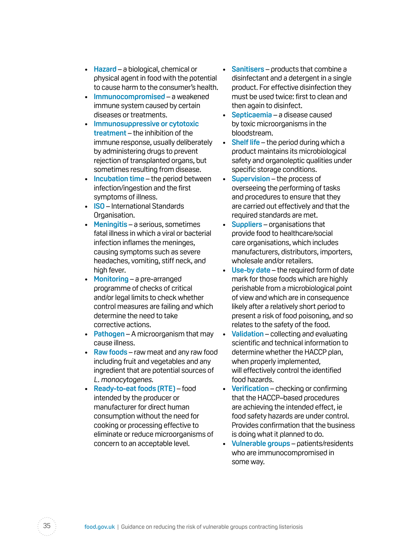- • **Hazard** a biological, chemical or physical agent in food with the potential to cause harm to the consumer's health.
- **Immunocompromised** a weakened immune system caused by certain diseases or treatments.
- • **Immunosuppressive or cytotoxic treatment** – the inhibition of the immune response, usually deliberately by administering drugs to prevent rejection of transplanted organs, but sometimes resulting from disease.
- • **Incubation time** the period between infection/ingestion and the first symptoms of illness.
- • **ISO** International Standards Organisation.
- • **Meningitis** a serious, sometimes fatal illness in which a viral or bacterial infection inflames the meninges, causing symptoms such as severe headaches, vomiting, stiff neck, and high fever.
- • **Monitoring** a pre-arranged programme of checks of critical and/or legal limits to check whether control measures are failing and which determine the need to take corrective actions.
- • **Pathogen** A microorganism that may cause illness.
- • **Raw foods** raw meat and any raw food including fruit and vegetables and any ingredient that are potential sources of L. monocytogenes.
- • **Ready-to-eat foods (RTE)** food intended by the producer or manufacturer for direct human consumption without the need for cooking or processing effective to eliminate or reduce microorganisms of concern to an acceptable level.
- • **Sanitisers** products that combine a disinfectant and a detergent in a single product. For effective disinfection they must be used twice: first to clean and then again to disinfect.
- • **Septicaemia** a disease caused by toxic microorganisms in the bloodstream.
- • **Shelf life** the period during which a product maintains its microbiological safety and organoleptic qualities under specific storage conditions.
- • **Supervision** the process of overseeing the performing of tasks and procedures to ensure that they are carried out effectively and that the required standards are met.
- • **Suppliers** organisations that provide food to healthcare/social care organisations, which includes manufacturers, distributors, importers, wholesale and/or retailers.
- • **Use-by date** the required form of date mark for those foods which are highly perishable from a microbiological point of view and which are in consequence likely after a relatively short period to present a risk of food poisoning, and so relates to the safety of the food.
- • **Validation** collecting and evaluating scientific and technical information to determine whether the HACCP plan, when properly implemented, will effectively control the identified food hazards.
- • **Verification** checking or confirming that the HACCP–based procedures are achieving the intended effect, ie food safety hazards are under control. Provides confirmation that the business is doing what it planned to do.
- • **Vulnerable groups** patients/residents who are immunocompromised in some way.

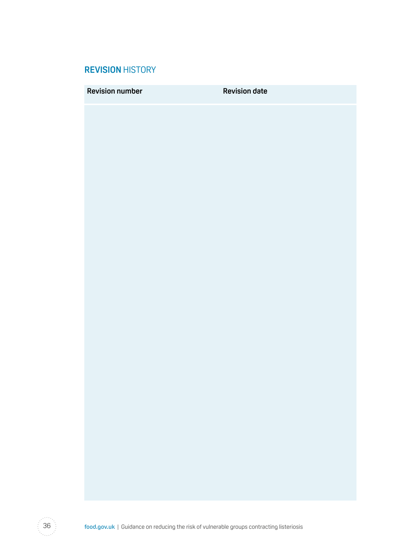### <span id="page-35-0"></span>**REVISION** HISTORY

**Revision number COVID Revision date** 

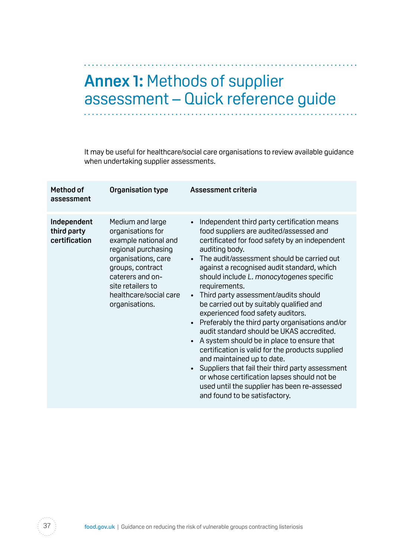# <span id="page-36-0"></span>**Annex 1:** Methods of supplier assessment – Quick reference guide

It may be useful for healthcare/social care organisations to review available guidance when undertaking supplier assessments.

| Method of<br>assessment                     | Organisation type                                                                                                                                                                                                    | <b>Assessment criteria</b>                                                                                                                                                                                                                                                                                                                                                                                                                                                                                                                                                                                                                                                                                                                                                                                                                                                                     |
|---------------------------------------------|----------------------------------------------------------------------------------------------------------------------------------------------------------------------------------------------------------------------|------------------------------------------------------------------------------------------------------------------------------------------------------------------------------------------------------------------------------------------------------------------------------------------------------------------------------------------------------------------------------------------------------------------------------------------------------------------------------------------------------------------------------------------------------------------------------------------------------------------------------------------------------------------------------------------------------------------------------------------------------------------------------------------------------------------------------------------------------------------------------------------------|
| Independent<br>third party<br>certification | Medium and large<br>organisations for<br>example national and<br>regional purchasing<br>organisations, care<br>groups, contract<br>caterers and on-<br>site retailers to<br>healthcare/social care<br>organisations. | Independent third party certification means<br>$\bullet$<br>food suppliers are audited/assessed and<br>certificated for food safety by an independent<br>auditing body.<br>• The audit/assessment should be carried out<br>against a recognised audit standard, which<br>should include L. monocytogenes specific<br>requirements.<br>• Third party assessment/audits should<br>be carried out by suitably qualified and<br>experienced food safety auditors.<br>Preferably the third party organisations and/or<br>audit standard should be UKAS accredited.<br>A system should be in place to ensure that<br>certification is valid for the products supplied<br>and maintained up to date.<br>Suppliers that fail their third party assessment<br>$\bullet$<br>or whose certification lapses should not be<br>used until the supplier has been re-assessed<br>and found to be satisfactory. |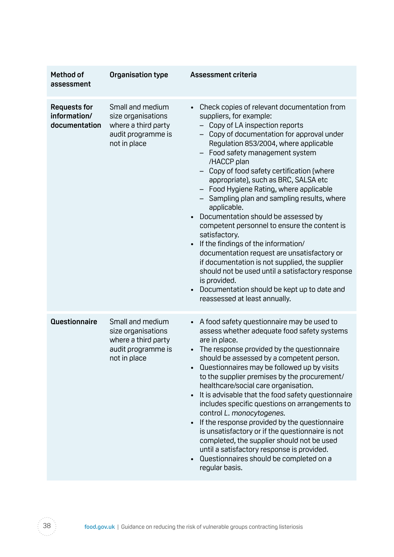| Method of<br>assessment                              | Organisation type                                                                                   | <b>Assessment criteria</b>                                                                                                                                                                                                                                                                                                                                                                                                                                                                                                                                                                                                                                                                                                                                                                                                                                     |
|------------------------------------------------------|-----------------------------------------------------------------------------------------------------|----------------------------------------------------------------------------------------------------------------------------------------------------------------------------------------------------------------------------------------------------------------------------------------------------------------------------------------------------------------------------------------------------------------------------------------------------------------------------------------------------------------------------------------------------------------------------------------------------------------------------------------------------------------------------------------------------------------------------------------------------------------------------------------------------------------------------------------------------------------|
| <b>Requests for</b><br>information/<br>documentation | Small and medium<br>size organisations<br>where a third party<br>audit programme is<br>not in place | Check copies of relevant documentation from<br>suppliers, for example:<br>- Copy of LA inspection reports<br>- Copy of documentation for approval under<br>Regulation 853/2004, where applicable<br>Food safety management system<br>/HACCP plan<br>Copy of food safety certification (where<br>appropriate), such as BRC, SALSA etc<br>- Food Hygiene Rating, where applicable<br>- Sampling plan and sampling results, where<br>applicable.<br>Documentation should be assessed by<br>$\bullet$<br>competent personnel to ensure the content is<br>satisfactory.<br>If the findings of the information/<br>documentation request are unsatisfactory or<br>if documentation is not supplied, the supplier<br>should not be used until a satisfactory response<br>is provided.<br>Documentation should be kept up to date and<br>reassessed at least annually. |
| <b>Questionnaire</b>                                 | Small and medium<br>size organisations<br>where a third party<br>audit programme is<br>not in place | A food safety questionnaire may be used to<br>assess whether adequate food safety systems<br>are in place.<br>The response provided by the questionnaire<br>should be assessed by a competent person.<br>Questionnaires may be followed up by visits<br>to the supplier premises by the procurement/<br>healthcare/social care organisation.<br>It is advisable that the food safety questionnaire<br>includes specific questions on arrangements to<br>control L. monocytogenes.<br>If the response provided by the questionnaire<br>is unsatisfactory or if the questionnaire is not<br>completed, the supplier should not be used<br>until a satisfactory response is provided.<br>Questionnaires should be completed on a<br>regular basis.                                                                                                                |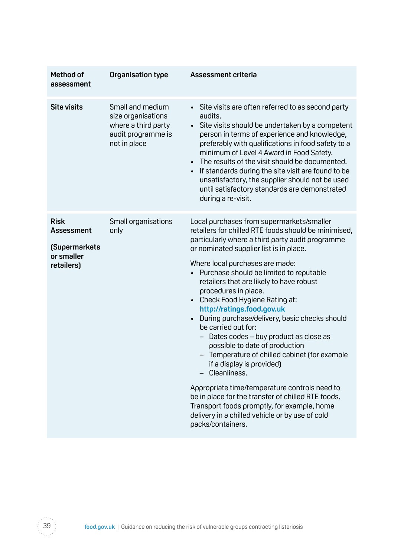| Method of<br>assessment                                                       | Organisation type                                                                                   | <b>Assessment criteria</b>                                                                                                                                                                                                                                                                                                                                                                                                                                                                                         |
|-------------------------------------------------------------------------------|-----------------------------------------------------------------------------------------------------|--------------------------------------------------------------------------------------------------------------------------------------------------------------------------------------------------------------------------------------------------------------------------------------------------------------------------------------------------------------------------------------------------------------------------------------------------------------------------------------------------------------------|
| <b>Site visits</b>                                                            | Small and medium<br>size organisations<br>where a third party<br>audit programme is<br>not in place | • Site visits are often referred to as second party<br>audits.<br>Site visits should be undertaken by a competent<br>person in terms of experience and knowledge,<br>preferably with qualifications in food safety to a<br>minimum of Level 4 Award in Food Safety.<br>The results of the visit should be documented.<br>If standards during the site visit are found to be<br>$\bullet$<br>unsatisfactory, the supplier should not be used<br>until satisfactory standards are demonstrated<br>during a re-visit. |
| <b>Risk</b><br><b>Assessment</b><br>(Supermarkets<br>or smaller<br>retailers) | Small organisations<br>only                                                                         | Local purchases from supermarkets/smaller<br>retailers for chilled RTE foods should be minimised,<br>particularly where a third party audit programme<br>or nominated supplier list is in place.<br>Where local purchases are made:<br>Purchase should be limited to reputable                                                                                                                                                                                                                                     |
|                                                                               |                                                                                                     | retailers that are likely to have robust<br>procedures in place.<br>Check Food Hygiene Rating at:<br>http://ratings.food.gov.uk<br>During purchase/delivery, basic checks should<br>$\bullet$<br>be carried out for:<br>Dates codes - buy product as close as<br>possible to date of production<br>- Temperature of chilled cabinet (for example<br>if a display is provided)<br>Cleanliness.                                                                                                                      |
|                                                                               |                                                                                                     | Appropriate time/temperature controls need to<br>be in place for the transfer of chilled RTE foods.<br>Transport foods promptly, for example, home<br>delivery in a chilled vehicle or by use of cold<br>packs/containers.                                                                                                                                                                                                                                                                                         |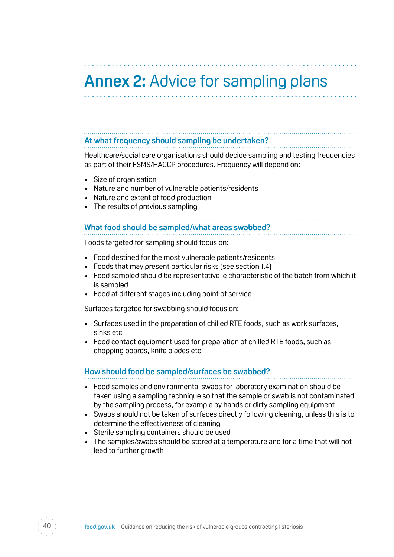# <span id="page-39-0"></span>**Annex 2:** Advice for sampling plans

#### **At what frequency should sampling be undertaken?**

Healthcare/social care organisations should decide sampling and testing frequencies as part of their FSMS/HACCP procedures. Frequency will depend on:

- • Size of organisation
- Nature and number of vulnerable patients/residents
- Nature and extent of food production
- The results of previous sampling

# **What food should be sampled/what areas swabbed?**

Foods targeted for sampling should focus on:

- Food destined for the most vulnerable patients/residents
- Foods that may present particular risks (see section 1.4)
- Food sampled should be representative ie characteristic of the batch from which it is sampled
- Food at different stages including point of service

Surfaces targeted for swabbing should focus on:

- Surfaces used in the preparation of chilled RTE foods, such as work surfaces, sinks etc
- Food contact equipment used for preparation of chilled RTE foods, such as chopping boards, knife blades etc

#### **How should food be sampled/surfaces be swabbed?**

- Food samples and environmental swabs for laboratory examination should be taken using a sampling technique so that the sample or swab is not contaminated by the sampling process, for example by hands or dirty sampling equipment
- Swabs should not be taken of surfaces directly following cleaning, unless this is to determine the effectiveness of cleaning
- Sterile sampling containers should be used
- The samples/swabs should be stored at a temperature and for a time that will not lead to further growth

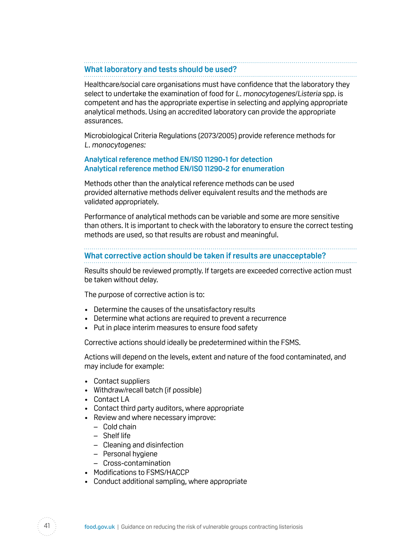#### **What laboratory and tests should be used?**

Healthcare/social care organisations must have confidence that the laboratory they select to undertake the examination of food for L. monocytogenes/Listeria spp. is competent and has the appropriate expertise in selecting and applying appropriate analytical methods. Using an accredited laboratory can provide the appropriate assurances.

Microbiological Criteria Regulations (2073/2005) provide reference methods for L. monocytogenes:

#### **Analytical reference method EN/ISO 11290-1 for detection Analytical reference method EN/ISO 11290-2 for enumeration**

Methods other than the analytical reference methods can be used provided alternative methods deliver equivalent results and the methods are validated appropriately.

Performance of analytical methods can be variable and some are more sensitive than others. It is important to check with the laboratory to ensure the correct testing methods are used, so that results are robust and meaningful.

# **What corrective action should be taken if results are unacceptable?**

Results should be reviewed promptly. If targets are exceeded corrective action must be taken without delay.

The purpose of corrective action is to:

- Determine the causes of the unsatisfactory results
- Determine what actions are required to prevent a recurrence

• Put in place interim measures to ensure food safety

Corrective actions should ideally be predetermined within the FSMS.

Actions will depend on the levels, extent and nature of the food contaminated, and may include for example:

- Contact suppliers
- Withdraw/recall batch (if possible)
- Contact LA
- Contact third party auditors, where appropriate
- Review and where necessary improve:
	- Cold chain
	- Shelf life
	- Cleaning and disinfection
	- Personal hygiene
	- Cross-contamination
- Modifications to FSMS/HACCP
- Conduct additional sampling, where appropriate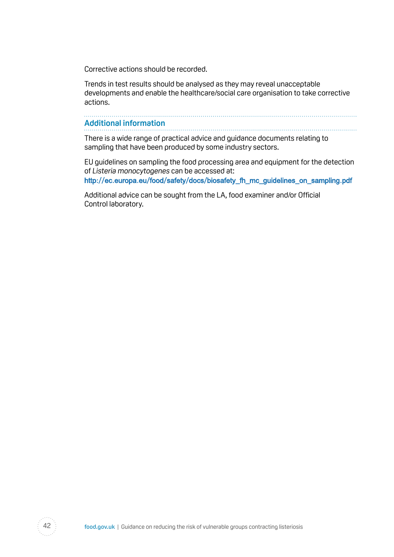Corrective actions should be recorded.

Trends in test results should be analysed as they may reveal unacceptable developments and enable the healthcare/social care organisation to take corrective actions.

#### **Additional information**

There is a wide range of practical advice and guidance documents relating to sampling that have been produced by some industry sectors.

EU guidelines on sampling the food processing area and equipment for the detection of Listeria monocytogenes can be accessed at:

[http://ec.europa.eu/food/safety/docs/biosafety\\_fh\\_mc\\_guidelines\\_on\\_sampling.pdf](http://ec.europa.eu/food/safety/docs/biosafety_fh_mc_guidelines_on_sampling.pdf)

Additional advice can be sought from the LA, food examiner and/or Official Control laboratory.